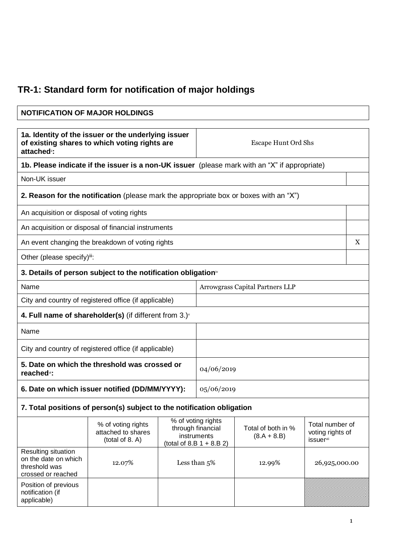## **TR-1: Standard form for notification of major holdings**

| <b>NOTIFICATION OF MAJOR HOLDINGS</b>                                                                                           |                                                                                               |            |                                                                                       |                                     |                                                                     |   |
|---------------------------------------------------------------------------------------------------------------------------------|-----------------------------------------------------------------------------------------------|------------|---------------------------------------------------------------------------------------|-------------------------------------|---------------------------------------------------------------------|---|
| 1a. Identity of the issuer or the underlying issuer<br>of existing shares to which voting rights are<br>attached <sup>®</sup> : |                                                                                               |            | <b>Escape Hunt Ord Shs</b>                                                            |                                     |                                                                     |   |
|                                                                                                                                 | 1b. Please indicate if the issuer is a non-UK issuer (please mark with an "X" if appropriate) |            |                                                                                       |                                     |                                                                     |   |
| Non-UK issuer                                                                                                                   |                                                                                               |            |                                                                                       |                                     |                                                                     |   |
|                                                                                                                                 | <b>2. Reason for the notification</b> (please mark the appropriate box or boxes with an "X")  |            |                                                                                       |                                     |                                                                     |   |
| An acquisition or disposal of voting rights                                                                                     |                                                                                               |            |                                                                                       |                                     |                                                                     |   |
|                                                                                                                                 | An acquisition or disposal of financial instruments                                           |            |                                                                                       |                                     |                                                                     |   |
|                                                                                                                                 | An event changing the breakdown of voting rights                                              |            |                                                                                       |                                     |                                                                     | X |
| Other (please specify) <sup>iii</sup> :                                                                                         |                                                                                               |            |                                                                                       |                                     |                                                                     |   |
|                                                                                                                                 | 3. Details of person subject to the notification obligation <sup>*</sup>                      |            |                                                                                       |                                     |                                                                     |   |
| Name                                                                                                                            |                                                                                               |            | Arrowgrass Capital Partners LLP                                                       |                                     |                                                                     |   |
|                                                                                                                                 | City and country of registered office (if applicable)                                         |            |                                                                                       |                                     |                                                                     |   |
|                                                                                                                                 | 4. Full name of shareholder(s) (if different from $3.$ ) $\check{ }$                          |            |                                                                                       |                                     |                                                                     |   |
| Name                                                                                                                            |                                                                                               |            |                                                                                       |                                     |                                                                     |   |
| City and country of registered office (if applicable)                                                                           |                                                                                               |            |                                                                                       |                                     |                                                                     |   |
| 5. Date on which the threshold was crossed or<br>reached <sup>x</sup> :                                                         |                                                                                               | 04/06/2019 |                                                                                       |                                     |                                                                     |   |
| 6. Date on which issuer notified (DD/MM/YYYY):                                                                                  |                                                                                               | 05/06/2019 |                                                                                       |                                     |                                                                     |   |
| 7. Total positions of person(s) subject to the notification obligation                                                          |                                                                                               |            |                                                                                       |                                     |                                                                     |   |
|                                                                                                                                 | % of voting rights<br>attached to shares<br>(total of 8. A)                                   |            | % of voting rights<br>through financial<br>instruments<br>(total of $8.B 1 + 8.B 2$ ) | Total of both in %<br>$(8.A + 8.B)$ | Total number of<br>voting rights of<br><i>issuer</i> <sup>vii</sup> |   |
| Resulting situation<br>on the date on which<br>threshold was<br>crossed or reached                                              | 12.07%                                                                                        |            | Less than 5%                                                                          | 12.99%                              | 26,925,000.00                                                       |   |
| Position of previous<br>notification (if<br>applicable)                                                                         |                                                                                               |            |                                                                                       |                                     |                                                                     |   |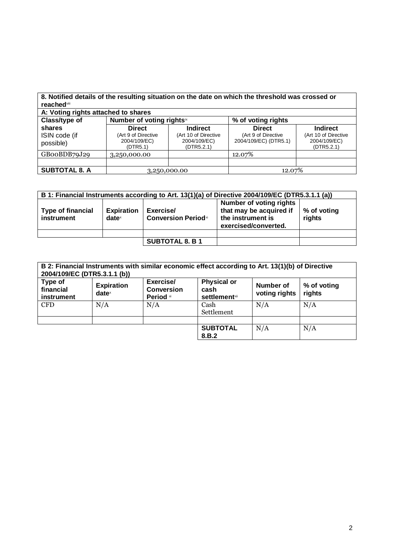| <b>reached</b> viii<br>A: Voting rights attached to shares |                                                                  |                                                                       | 8. Notified details of the resulting situation on the date on which the threshold was crossed or |                                                                       |
|------------------------------------------------------------|------------------------------------------------------------------|-----------------------------------------------------------------------|--------------------------------------------------------------------------------------------------|-----------------------------------------------------------------------|
| Class/type of                                              | Number of voting rightsix                                        |                                                                       | % of voting rights                                                                               |                                                                       |
| shares<br>ISIN code (if<br>possible)                       | <b>Direct</b><br>(Art 9 of Directive<br>2004/109/EC)<br>(DTR5.1) | <b>Indirect</b><br>(Art 10 of Directive<br>2004/109/EC)<br>(DTR5.2.1) | <b>Direct</b><br>(Art 9 of Directive<br>2004/109/EC) (DTR5.1)                                    | <b>Indirect</b><br>(Art 10 of Directive<br>2004/109/EC)<br>(DTR5.2.1) |
| GB00BDB79J29                                               | 3,250,000.00                                                     |                                                                       | 12.07%                                                                                           |                                                                       |
|                                                            |                                                                  |                                                                       |                                                                                                  |                                                                       |
| <b>SUBTOTAL 8. A</b>                                       | 3,250,000.00                                                     |                                                                       | 12.07%                                                                                           |                                                                       |

| B 1: Financial Instruments according to Art. 13(1)(a) of Directive 2004/109/EC (DTR5.3.1.1 (a)) |                                      |                                         |                                                                                                 |                       |
|-------------------------------------------------------------------------------------------------|--------------------------------------|-----------------------------------------|-------------------------------------------------------------------------------------------------|-----------------------|
| <b>Type of financial</b><br>instrument                                                          | <b>Expiration</b><br>$date^{\times}$ | Exercise/<br><b>Conversion Periodxi</b> | Number of voting rights<br>that may be acquired if<br>the instrument is<br>exercised/converted. | % of voting<br>rights |
|                                                                                                 |                                      |                                         |                                                                                                 |                       |
|                                                                                                 |                                      | <b>SUBTOTAL 8. B 1</b>                  |                                                                                                 |                       |

| B 2: Financial Instruments with similar economic effect according to Art. 13(1)(b) of Directive<br>2004/109/EC (DTR5.3.1.1 (b)) |                                        |                                            |                                                     |                            |                       |
|---------------------------------------------------------------------------------------------------------------------------------|----------------------------------------|--------------------------------------------|-----------------------------------------------------|----------------------------|-----------------------|
| Type of<br>financial<br>instrument                                                                                              | <b>Expiration</b><br>date <sup>x</sup> | Exercise/<br><b>Conversion</b><br>Period * | <b>Physical or</b><br>cash<br><b>settlement</b> xii | Number of<br>voting rights | % of voting<br>rights |
| <b>CFD</b>                                                                                                                      | N/A                                    | N/A                                        | Cash<br>Settlement                                  | N/A                        | N/A                   |
|                                                                                                                                 |                                        |                                            |                                                     |                            |                       |
|                                                                                                                                 |                                        |                                            | <b>SUBTOTAL</b><br>8.B.2                            | N/A                        | N/A                   |